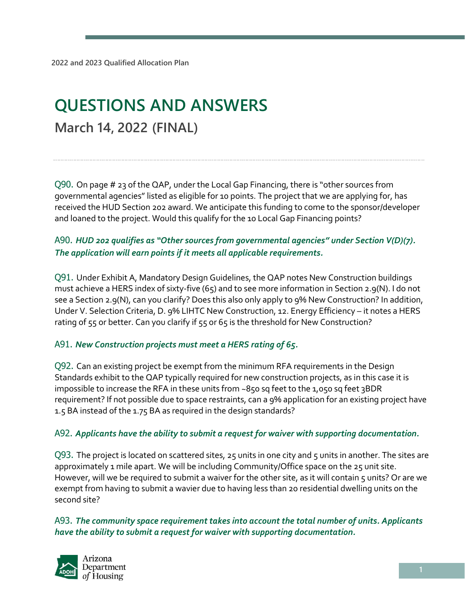# **QUESTIONS AND ANSWERS March 14, 2022 (FINAL)**

Q90. On page # 23 of the QAP, under the Local Gap Financing, there is "other sources from governmental agencies" listed as eligible for 10 points. The project that we are applying for, has received the HUD Section 202 award. We anticipate this funding to come to the sponsor/developer and loaned to the project. Would this qualify for the 10 Local Gap Financing points?

## A90. *HUD 202 qualifies as "Other sources from governmental agencies" under Section V(D)(7). The application will earn points if it meets all applicable requirements.*

Q91. Under Exhibit A, Mandatory Design Guidelines, the QAP notes New Construction buildings must achieve a HERS index of sixty-five (65) and to see more information in Section 2.9(N). I do not see a Section 2.9(N), can you clarify? Does this also only apply to 9% New Construction? In addition, Under V. Selection Criteria, D. 9% LIHTC New Construction, 12. Energy Efficiency – it notes a HERS rating of 55 or better. Can you clarify if 55 or 65 is the threshold for New Construction?

#### A91. *New Construction projects must meet a HERS rating of 65.*

Q92. Can an existing project be exempt from the minimum RFA requirements in the Design Standards exhibit to the QAP typically required for new construction projects, as in this case it is impossible to increase the RFA in these units from ~850 sq feet to the 1,050 sq feet 3BDR requirement? If not possible due to space restraints, can a 9% application for an existing project have 1.5 BA instead of the 1.75 BA as required in the design standards?

#### A92. *Applicants have the ability to submit a request for waiver with supporting documentation.*

Q93. The project is located on scattered sites, 25 units in one city and 5 units in another. The sites are approximately 1 mile apart. We will be including Community/Office space on the 25 unit site. However, will we be required to submit a waiver for the other site, as it will contain 5 units? Or are we exempt from having to submit a wavier due to having less than 20 residential dwelling units on the second site?

A93. *The community space requirement takes into account the total number of units. Applicants have the ability to submit a request for waiver with supporting documentation.* 

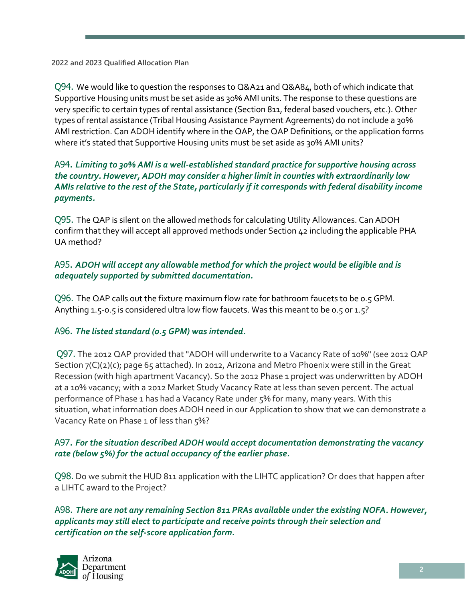**2022 and 2023 Qualified Allocation Plan**

Q94. We would like to question the responses to Q&A21 and Q&A84, both of which indicate that Supportive Housing units must be set aside as 30% AMI units. The response to these questions are very specific to certain types of rental assistance (Section 811, federal based vouchers, etc.). Other types of rental assistance (Tribal Housing Assistance Payment Agreements) do not include a 30% AMI restriction. Can ADOH identify where in the QAP, the QAP Definitions, or the application forms where it's stated that Supportive Housing units must be set aside as 30% AMI units?

#### A94. *Limiting to 30% AMI is a well-established standard practice for supportive housing across the country. However, ADOH may consider a higher limit in counties with extraordinarily low AMIs relative to the rest of the State, particularly if it corresponds with federal disability income payments.*

Q95. The QAP is silent on the allowed methods for calculating Utility Allowances. Can ADOH confirm that they will accept all approved methods under Section 42 including the applicable PHA UA method?

## A95. *ADOH will accept any allowable method for which the project would be eligible and is adequately supported by submitted documentation.*

Q96. The QAP calls out the fixture maximum flow rate for bathroom faucets to be 0.5 GPM. Anything 1.5-0.5 is considered ultra low flow faucets. Was this meant to be 0.5 or 1.5?

#### A96. *The listed standard (0.5 GPM) was intended.*

Q97. The 2012 QAP provided that "ADOH will underwrite to a Vacancy Rate of 10%" (see 2012 QAP Section 7(C)(2)(c); page 65 attached). In 2012, Arizona and Metro Phoenix were still in the Great Recession (with high apartment Vacancy). So the 2012 Phase 1 project was underwritten by ADOH at a 10% vacancy; with a 2012 Market Study Vacancy Rate at less than seven percent. The actual performance of Phase 1 has had a Vacancy Rate under 5% for many, many years. With this situation, what information does ADOH need in our Application to show that we can demonstrate a Vacancy Rate on Phase 1 of less than 5%?

#### A97. *For the situation described ADOH would accept documentation demonstrating the vacancy rate (below 5%) for the actual occupancy of the earlier phase.*

Q98. Do we submit the HUD 811 application with the LIHTC application? Or does that happen after a LIHTC award to the Project?

A98. *There are not any remaining Section 811 PRAs available under the existing NOFA. However, applicants may still elect to participate and receive points through their selection and certification on the self-score application form.*

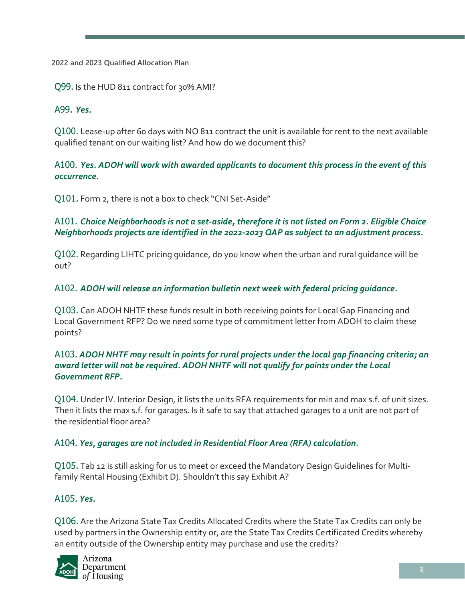**2022 and 2023 Qualified Allocation Plan**

Q99. Is the HUD 811 contract for 30% AMI?

A99. *Yes.*

Q100. Lease-up after 60 days with NO 811 contract the unit is available for rent to the next available qualified tenant on our waiting list? And how do we document this?

A100. *Yes. ADOH will work with awarded applicants to document this process in the event of this occurrence.*

Q101. Form 2, there is not a box to check "CNI Set-Aside"

A101. *Choice Neighborhoods is not a set-aside, therefore it is not listed on Form 2. Eligible Choice Neighborhoods projects are identified in the 2022-2023 QAP as subject to an adjustment process.*

Q102. Regarding LIHTC pricing guidance, do you know when the urban and rural guidance will be out?

A102. *ADOH will release an information bulletin next week with federal pricing guidance.* 

Q103. Can ADOH NHTF these funds result in both receiving points for Local Gap Financing and Local Government RFP? Do we need some type of commitment letter from ADOH to claim these points?

#### A103*. ADOH NHTF may result in points for rural projects under the local gap financing criteria; an award letter will not be required. ADOH NHTF will not qualify for points under the Local Government RFP.*

Q104. Under IV. Interior Design, it lists the units RFA requirements for min and max s.f. of unit sizes. Then it lists the max s.f. for garages. Is it safe to say that attached garages to a unit are not part of the residential floor area?

#### A104*. Yes, garages are not included in Residential Floor Area (RFA) calculation.*

Q105. Tab 12 is still asking for us to meet or exceed the Mandatory Design Guidelines for Multifamily Rental Housing (Exhibit D). Shouldn't this say Exhibit A?

#### A105*. Yes.*

Q106. Are the Arizona State Tax Credits Allocated Credits where the State Tax Credits can only be used by partners in the Ownership entity or, are the State Tax Credits Certificated Credits whereby an entity outside of the Ownership entity may purchase and use the credits?